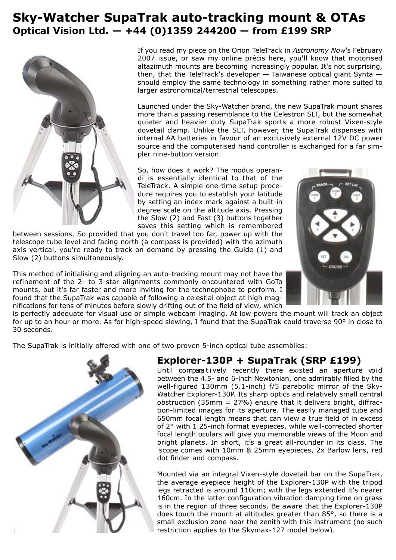# **Sky-Watcher SupaTrak auto-tracking mount & OTAs Optical Vision Ltd. — +44 (0)1359 244200 — from £199 SRP**



If you read my piece on the Orion TeleTrack in *Astronomy Now*'s February 2007 issue, or saw my online précis here, you'll know that motorised altazimuth mounts are becoming increasingly popular. It's not surprising, then, that the TeleTrack's developer — Taiwanese optical giant Synta should employ the same technology in something rather more suited to larger astronomical/terrestrial telescopes.

Launched under the Sky-Watcher brand, the new SupaTrak mount shares more than a passing resemblance to the Celestron SLT, but the somewhat quieter and heavier duty SupaTrak sports a more robust Vixen-style dovetail clamp. Unlike the SLT, however, the SupaTrak dispenses with internal AA batteries in favour of an exclusively external 12V DC power source and the computerised hand controller is exchanged for a far simpler nine-button version.

So, how does it work? The modus operandi is essentially identical to that of the TeleTrack. A simple one-time setup procedure requires you to establish your latitude by setting an index mark against a built-in degree scale on the altitude axis. Pressing the Slow (2) and Fast (3) buttons together saves this setting which is remembered

between sessions. So provided that you don't travel too far, power up with the telescope tube level and facing north (a compass is provided) with the azimuth axis vertical, you're ready to track on demand by pressing the Guide (1) and Slow (2) buttons simultaneously.

This method of initialising and aligning an auto-tracking mount may not have the refinement of the 2- to 3-star alignments commonly encountered with GoTo mounts, but it's far faster and more inviting for the technophobe to perform. I found that the SupaTrak was capable of following a celestial object at high magnifications for tens of minutes before slowly drifting out of the field of view, which



is perfectly adequate for visual use or simple webcam imaging. At low powers the mount will track an object for up to an hour or more. As for high-speed slewing, I found that the SupaTrak could traverse 90° in close to 30 seconds.

The SupaTrak is initially offered with one of two proven 5-inch optical tube assemblies:



### **Explorer-130P + SupaTrak (SRP £199)**

Until compara tively recently there existed an aperture void between the 4.5- and 6-inch Newtonian, one admirably filled by the well-figured 130mm (5.1-inch) f/5 parabolic mirror of the Sky-Watcher Explorer-130P. Its sharp optics and relatively small central obstruction (35mm  $= 27\%$ ) ensure that it delivers bright, diffraction-limited images for its aperture. The easily managed tube and 650mm focal length means that can view a true field of in excess of 2° with 1.25-inch format eyepieces, while well-corrected shorter focal length oculars will give you memorable views of the Moon and bright planets. In short, it's a great all-rounder in its class. The 'scope comes with 10mm & 25mm eyepieces, 2x Barlow lens, red dot finder and compass.

Mounted via an integral Vixen-style dovetail bar on the SupaTrak, the average eyepiece height of the Explorer-130P with the tripod legs retracted is around 110cm; with the legs extended it's nearer 160cm. In the latter configuration vibration damping time on grass is in the region of three seconds. Be aware that the Explorer-130P does touch the mount at altitudes greater than 85°, so there is a small exclusion zone near the zenith with this instrument (no such restriction applies to the Skymax-127 model below).